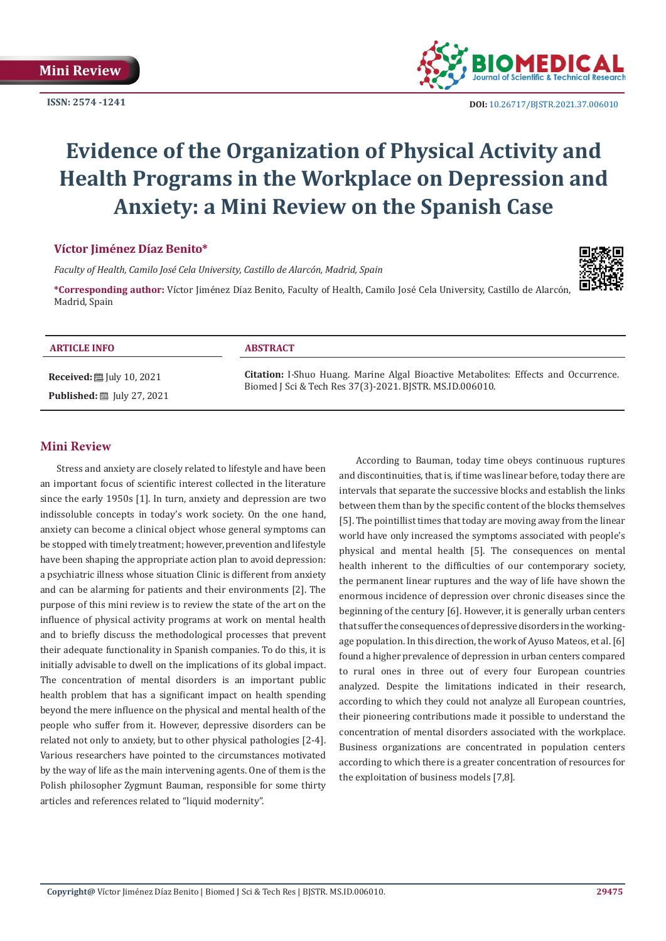**ISSN: 2574 -1241**



 **DOI:** [10.26717/BJSTR.2021.37.006010](https://dx.doi.org/10.26717/BJSTR.2021.37.006010)

# **Evidence of the Organization of Physical Activity and Health Programs in the Workplace on Depression and Anxiety: a Mini Review on the Spanish Case**

## **Víctor Jiménez Díaz Benito\***

*Faculty of Health, Camilo José Cela University, Castillo de Alarcón, Madrid, Spain*

**\*Corresponding author:** Víctor Jiménez Díaz Benito, Faculty of Health, Camilo José Cela University, Castillo de Alarcón, Madrid, Spain

#### **ARTICLE INFO ABSTRACT**

**Received:** ■ July 10, 2021 **Published:** [Uly 27, 2021]

**Citation:** I-Shuo Huang. Marine Algal Bioactive Metabolites: Effects and Occurrence. Biomed J Sci & Tech Res 37(3)-2021. BJSTR. MS.ID.006010.

#### **Mini Review**

Stress and anxiety are closely related to lifestyle and have been an important focus of scientific interest collected in the literature since the early 1950s [1]. In turn, anxiety and depression are two indissoluble concepts in today's work society. On the one hand, anxiety can become a clinical object whose general symptoms can be stopped with timely treatment; however, prevention and lifestyle have been shaping the appropriate action plan to avoid depression: a psychiatric illness whose situation Clinic is different from anxiety and can be alarming for patients and their environments [2]. The purpose of this mini review is to review the state of the art on the influence of physical activity programs at work on mental health and to briefly discuss the methodological processes that prevent their adequate functionality in Spanish companies. To do this, it is initially advisable to dwell on the implications of its global impact. The concentration of mental disorders is an important public health problem that has a significant impact on health spending beyond the mere influence on the physical and mental health of the people who suffer from it. However, depressive disorders can be related not only to anxiety, but to other physical pathologies [2-4]. Various researchers have pointed to the circumstances motivated by the way of life as the main intervening agents. One of them is the Polish philosopher Zygmunt Bauman, responsible for some thirty articles and references related to "liquid modernity".

According to Bauman, today time obeys continuous ruptures and discontinuities, that is, if time was linear before, today there are intervals that separate the successive blocks and establish the links between them than by the specific content of the blocks themselves [5]. The pointillist times that today are moving away from the linear world have only increased the symptoms associated with people's physical and mental health [5]. The consequences on mental health inherent to the difficulties of our contemporary society, the permanent linear ruptures and the way of life have shown the enormous incidence of depression over chronic diseases since the beginning of the century [6]. However, it is generally urban centers that suffer the consequences of depressive disorders in the workingage population. In this direction, the work of Ayuso Mateos, et al. [6] found a higher prevalence of depression in urban centers compared to rural ones in three out of every four European countries analyzed. Despite the limitations indicated in their research, according to which they could not analyze all European countries, their pioneering contributions made it possible to understand the concentration of mental disorders associated with the workplace. Business organizations are concentrated in population centers according to which there is a greater concentration of resources for the exploitation of business models [7,8].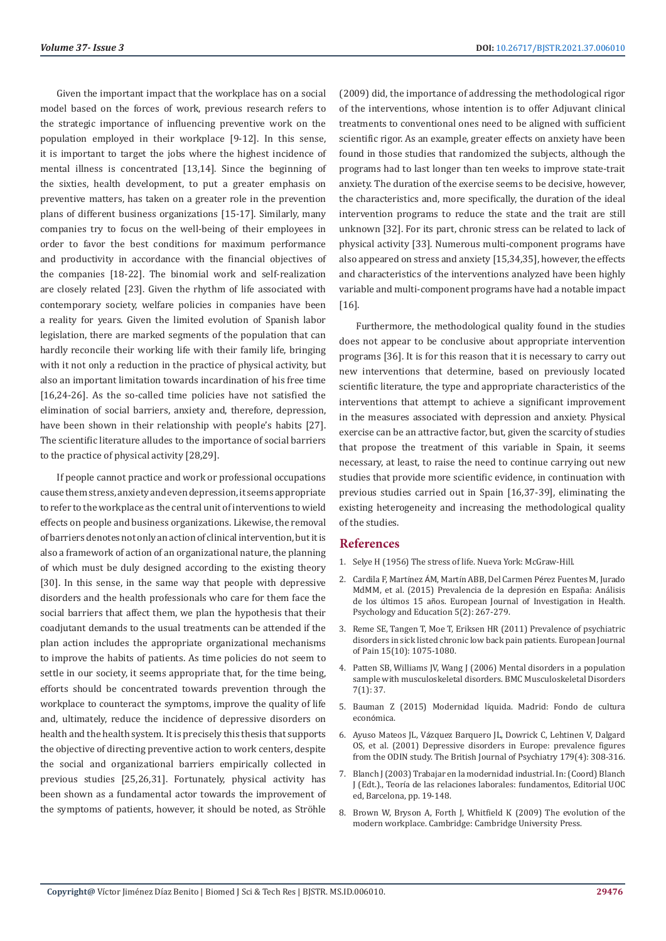Given the important impact that the workplace has on a social model based on the forces of work, previous research refers to the strategic importance of influencing preventive work on the population employed in their workplace [9-12]. In this sense, it is important to target the jobs where the highest incidence of mental illness is concentrated [13,14]. Since the beginning of the sixties, health development, to put a greater emphasis on preventive matters, has taken on a greater role in the prevention plans of different business organizations [15-17]. Similarly, many companies try to focus on the well-being of their employees in order to favor the best conditions for maximum performance and productivity in accordance with the financial objectives of the companies [18-22]. The binomial work and self-realization are closely related [23]. Given the rhythm of life associated with contemporary society, welfare policies in companies have been a reality for years. Given the limited evolution of Spanish labor legislation, there are marked segments of the population that can hardly reconcile their working life with their family life, bringing with it not only a reduction in the practice of physical activity, but also an important limitation towards incardination of his free time [16,24-26]. As the so-called time policies have not satisfied the elimination of social barriers, anxiety and, therefore, depression, have been shown in their relationship with people's habits [27]. The scientific literature alludes to the importance of social barriers to the practice of physical activity [28,29].

If people cannot practice and work or professional occupations cause them stress, anxiety and even depression, it seems appropriate to refer to the workplace as the central unit of interventions to wield effects on people and business organizations. Likewise, the removal of barriers denotes not only an action of clinical intervention, but it is also a framework of action of an organizational nature, the planning of which must be duly designed according to the existing theory [30]. In this sense, in the same way that people with depressive disorders and the health professionals who care for them face the social barriers that affect them, we plan the hypothesis that their coadjutant demands to the usual treatments can be attended if the plan action includes the appropriate organizational mechanisms to improve the habits of patients. As time policies do not seem to settle in our society, it seems appropriate that, for the time being, efforts should be concentrated towards prevention through the workplace to counteract the symptoms, improve the quality of life and, ultimately, reduce the incidence of depressive disorders on health and the health system. It is precisely this thesis that supports the objective of directing preventive action to work centers, despite the social and organizational barriers empirically collected in previous studies [25,26,31]. Fortunately, physical activity has been shown as a fundamental actor towards the improvement of the symptoms of patients, however, it should be noted, as Ströhle (2009) did, the importance of addressing the methodological rigor of the interventions, whose intention is to offer Adjuvant clinical treatments to conventional ones need to be aligned with sufficient scientific rigor. As an example, greater effects on anxiety have been found in those studies that randomized the subjects, although the programs had to last longer than ten weeks to improve state-trait anxiety. The duration of the exercise seems to be decisive, however, the characteristics and, more specifically, the duration of the ideal intervention programs to reduce the state and the trait are still unknown [32]. For its part, chronic stress can be related to lack of physical activity [33]. Numerous multi-component programs have also appeared on stress and anxiety [15,34,35], however, the effects and characteristics of the interventions analyzed have been highly variable and multi-component programs have had a notable impact [16].

Furthermore, the methodological quality found in the studies does not appear to be conclusive about appropriate intervention programs [36]. It is for this reason that it is necessary to carry out new interventions that determine, based on previously located scientific literature, the type and appropriate characteristics of the interventions that attempt to achieve a significant improvement in the measures associated with depression and anxiety. Physical exercise can be an attractive factor, but, given the scarcity of studies that propose the treatment of this variable in Spain, it seems necessary, at least, to raise the need to continue carrying out new studies that provide more scientific evidence, in continuation with previous studies carried out in Spain [16,37-39], eliminating the existing heterogeneity and increasing the methodological quality of the studies.

#### **References**

- 1. [Selye H \(1956\) The stress of life. Nueva York: McGraw-Hill.](https://psycnet.apa.org/record/1957-08247-000)
- 2. Cardila F, Martínez ÁM, Martín ABB, Del Carmen Pé[rez Fuentes M, Jurado](https://formacionasunivep.com/ejihpe/index.php/journal/article/view/118) [MdMM, et al. \(2015\) Prevalencia de la depresi](https://formacionasunivep.com/ejihpe/index.php/journal/article/view/118)ón en España: Análisis de los últimos 15 añ[os. European Journal of Investigation in Health.](https://formacionasunivep.com/ejihpe/index.php/journal/article/view/118) [Psychology and Education 5\(2\): 267-279.](https://formacionasunivep.com/ejihpe/index.php/journal/article/view/118)
- 3. [Reme SE, Tangen T, Moe T, Eriksen HR \(2011\) Prevalence of psychiatric](https://pubmed.ncbi.nlm.nih.gov/21592832/) [disorders in sick listed chronic low back pain patients. European Journal](https://pubmed.ncbi.nlm.nih.gov/21592832/) [of Pain 15\(10\): 1075-1080.](https://pubmed.ncbi.nlm.nih.gov/21592832/)
- 4. [Patten SB, Williams JV, Wang J \(2006\) Mental disorders in a population](https://pubmed.ncbi.nlm.nih.gov/16638139/) [sample with musculoskeletal disorders. BMC Musculoskeletal Disorders](https://pubmed.ncbi.nlm.nih.gov/16638139/) [7\(1\): 37.](https://pubmed.ncbi.nlm.nih.gov/16638139/)
- 5. Bauman Z (2015) Modernidad lí[quida. Madrid: Fondo de cultura](https://catedraepistemologia.files.wordpress.com/2009/05/modernidad-liquida.pdf) econó[mica.](https://catedraepistemologia.files.wordpress.com/2009/05/modernidad-liquida.pdf)
- 6. Ayuso Mateos JL, Vá[zquez Barquero JL, Dowrick C, Lehtinen V, Dalgard](https://www.researchgate.net/publication/11767732_Depressive_disorders_in_Europe_Prevalence_figures_from_The_ODIN_study) [OS, et al. \(2001\) Depressive disorders in Europe: prevalence figures](https://www.researchgate.net/publication/11767732_Depressive_disorders_in_Europe_Prevalence_figures_from_The_ODIN_study) [from the ODIN study. The British Journal of Psychiatry 179\(4\): 308-316.](https://www.researchgate.net/publication/11767732_Depressive_disorders_in_Europe_Prevalence_figures_from_The_ODIN_study)
- 7. Blanch J (2003) Trabajar en la modernidad industrial. In: (Coord) Blanch J (Edt.)., Teoría de las relaciones laborales: fundamentos, Editorial UOC ed, Barcelona, pp. 19-148.
- 8. [Brown W, Bryson A, Forth J, Whitfield K \(2009\) The evolution of the](http://eprints.lse.ac.uk/27788/) [modern workplace. Cambridge: Cambridge University Press.](http://eprints.lse.ac.uk/27788/)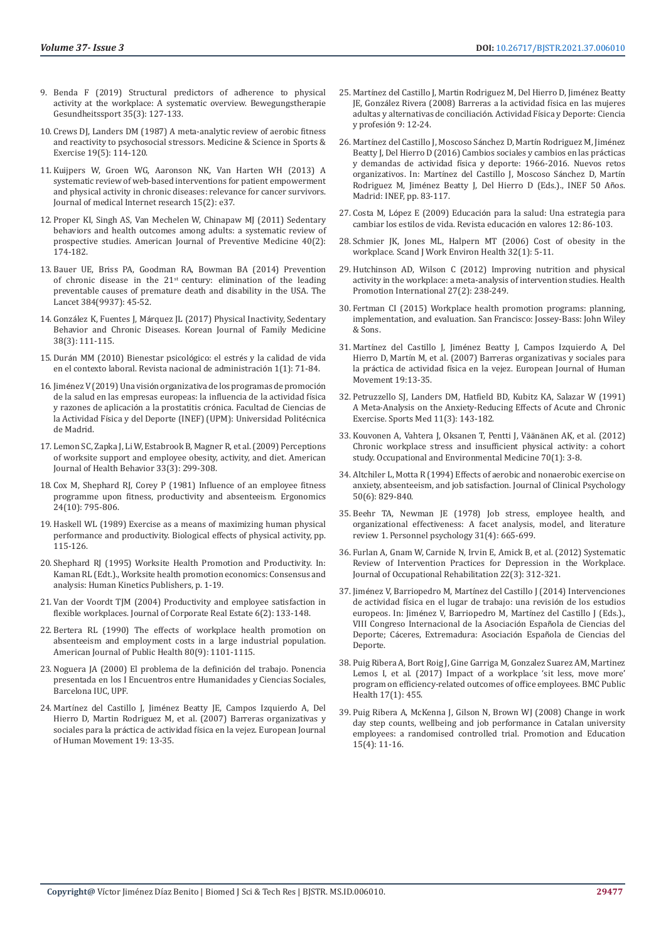- 9. Benda F (2019) Structural predictors of adherence to physical activity at the workplace: A systematic overview. Bewegungstherapie Gesundheitssport 35(3): 127-133.
- 10. [Crews DJ, Landers DM \(1987\) A meta-analytic review of aerobic fitness](https://pubmed.ncbi.nlm.nih.gov/3316910/)  [and reactivity to psychosocial stressors. Medicine & Science in Sports &](https://pubmed.ncbi.nlm.nih.gov/3316910/)  [Exercise 19\(5\): 114-120.](https://pubmed.ncbi.nlm.nih.gov/3316910/)
- 11. [Kuijpers W, Groen WG, Aaronson NK, Van Harten WH \(2013\) A](https://pubmed.ncbi.nlm.nih.gov/23425685/)  [systematic review of web-based interventions for patient empowerment](https://pubmed.ncbi.nlm.nih.gov/23425685/)  [and physical activity in chronic diseases: relevance for cancer survivors.](https://pubmed.ncbi.nlm.nih.gov/23425685/)  [Journal of medical Internet research 15\(2\): e37.](https://pubmed.ncbi.nlm.nih.gov/23425685/)
- 12. [Proper KI, Singh AS, Van Mechelen W, Chinapaw MJ \(2011\) Sedentary](https://pubmed.ncbi.nlm.nih.gov/21238866/)  [behaviors and health outcomes among adults: a systematic review of](https://pubmed.ncbi.nlm.nih.gov/21238866/)  [prospective studies. American Journal of Preventive Medicine 40\(2\):](https://pubmed.ncbi.nlm.nih.gov/21238866/)  [174-182.](https://pubmed.ncbi.nlm.nih.gov/21238866/)
- 13. [Bauer UE, Briss PA, Goodman RA, Bowman BA \(2014\) Prevention](https://pubmed.ncbi.nlm.nih.gov/24996589/)  of chronic disease in the  $21<sup>st</sup>$  century: elimination of the leading [preventable causes of premature death and disability in the USA. The](https://pubmed.ncbi.nlm.nih.gov/24996589/)  [Lancet 384\(9937\): 45-52.](https://pubmed.ncbi.nlm.nih.gov/24996589/)
- 14. González K, Fuentes J, Má[rquez JL \(2017\) Physical Inactivity, Sedentary](https://pubmed.ncbi.nlm.nih.gov/28572885/)  [Behavior and Chronic Diseases. Korean Journal of Family Medicine](https://pubmed.ncbi.nlm.nih.gov/28572885/)  [38\(3\): 111-115.](https://pubmed.ncbi.nlm.nih.gov/28572885/)
- 15. Durá[n MM \(2010\) Bienestar psicol](https://revistas.uned.ac.cr/index.php/rna/article/view/285)ógico: el estrés y la calidad de vida [en el contexto laboral. Revista nacional de administraci](https://revistas.uned.ac.cr/index.php/rna/article/view/285)ón 1(1): 71-84.
- 16. Jiménez V (2019) Una visió[n organizativa de los programas de promoci](http://oa.upm.es/56799/)ón [de la salud en las empresas europeas: la influencia de la actividad f](http://oa.upm.es/56799/)ísica y razones de aplicación a la prostatitis cró[nica. Facultad de Ciencias de](http://oa.upm.es/56799/)  la Actividad Fí[sica y del Deporte \(INEF\) \(UPM\): Universidad Polit](http://oa.upm.es/56799/)écnica [de Madrid.](http://oa.upm.es/56799/)
- 17. [Lemon SC, Zapka J, Li W, Estabrook B, Magner R, et al. \(2009\) Perceptions](https://pubmed.ncbi.nlm.nih.gov/19063651/)  [of worksite support and employee obesity, activity, and diet. American](https://pubmed.ncbi.nlm.nih.gov/19063651/)  [Journal of Health Behavior 33\(3\): 299-308.](https://pubmed.ncbi.nlm.nih.gov/19063651/)
- 18. [Cox M, Shephard RJ, Corey P \(1981\) Influence of an employee fitness](https://pubmed.ncbi.nlm.nih.gov/7318813/)  [programme upon fitness, productivity and absenteeism. Ergonomics](https://pubmed.ncbi.nlm.nih.gov/7318813/)  [24\(10\): 795-806.](https://pubmed.ncbi.nlm.nih.gov/7318813/)
- 19. Haskell WL (1989) Exercise as a means of maximizing human physical performance and productivity. Biological effects of physical activity, pp. 115-126.
- 20. Shephard RJ (1995) Worksite Health Promotion and Productivity. In: Kaman RL (Edt.)., Worksite health promotion economics: Consensus and analysis: Human Kinetics Publishers, p. 1-19.
- 21. [Van der Voordt TJM \(2004\) Productivity and employee satisfaction in](https://repository.tudelft.nl/islandora/object/uuid%3Aa8d6b7ae-5d21-495d-a30b-28437f4f2d70)  [flexible workplaces. Journal of Corporate Real Estate 6\(2\): 133-148.](https://repository.tudelft.nl/islandora/object/uuid%3Aa8d6b7ae-5d21-495d-a30b-28437f4f2d70)
- 22. [Bertera RL \(1990\) The effects of workplace health promotion on](https://pubmed.ncbi.nlm.nih.gov/2382748/)  [absenteeism and employment costs in a large industrial population.](https://pubmed.ncbi.nlm.nih.gov/2382748/)  [American Journal of Public Health 80\(9\): 1101-1115.](https://pubmed.ncbi.nlm.nih.gov/2382748/)
- 23. Noguera JA (2000) El problema de la definición del trabajo. Ponencia presentada en los I Encuentros entre Humanidades y Ciencias Sociales, Barcelona IUC, UPF.
- 24. Martínez del Castillo J, Jimé[nez Beatty JE, Campos Izquierdo A, Del](https://www.redalyc.org/pdf/2742/274220371002.pdf)  [Hierro D, Martin Rodriguez M, et al. \(2007\) Barreras organizativas y](https://www.redalyc.org/pdf/2742/274220371002.pdf)  sociales para la práctica de actividad fí[sica en la vejez. European Journal](https://www.redalyc.org/pdf/2742/274220371002.pdf)  [of Human Movement 19: 13-35.](https://www.redalyc.org/pdf/2742/274220371002.pdf)
- 25. Martí[nez del Castillo J, Martin Rodriguez M, Del Hierro D, Jim](http://oa.upm.es/8368/)énez Beatty JE, Gonzá[lez Rivera \(2008\) Barreras a la actividad f](http://oa.upm.es/8368/)ísica en las mujeres [adultas y alternativas de conciliaci](http://oa.upm.es/8368/)ón. Actividad Física y Deporte: Ciencia y profesió[n 9: 12-24.](http://oa.upm.es/8368/)
- 26. Martí[nez del Castillo J, Moscoso S](https://www.researchgate.net/publication/338006858_Cambios_sociales_y_cambios_en_las_practicas_y_demandas_de_actividad_fisica_y_deporte_1966-2016_Nuevos_retos_organizativos)ánchez D, Martín Rodriguez M, Jiménez [Beatty J, Del Hierro D \(2016\) Cambios sociales y cambios en las pr](https://www.researchgate.net/publication/338006858_Cambios_sociales_y_cambios_en_las_practicas_y_demandas_de_actividad_fisica_y_deporte_1966-2016_Nuevos_retos_organizativos)ácticas y demandas de actividad fí[sica y deporte: 1966-2016. Nuevos retos](https://www.researchgate.net/publication/338006858_Cambios_sociales_y_cambios_en_las_practicas_y_demandas_de_actividad_fisica_y_deporte_1966-2016_Nuevos_retos_organizativos) organizativos. In: Martí[nez del Castillo J, Moscoso S](https://www.researchgate.net/publication/338006858_Cambios_sociales_y_cambios_en_las_practicas_y_demandas_de_actividad_fisica_y_deporte_1966-2016_Nuevos_retos_organizativos)ánchez D, Martín Rodriguez M, Jimé[nez Beatty J, Del Hierro D \(Eds.\)., INEF 50 A](https://www.researchgate.net/publication/338006858_Cambios_sociales_y_cambios_en_las_practicas_y_demandas_de_actividad_fisica_y_deporte_1966-2016_Nuevos_retos_organizativos)ños. [Madrid: INEF, pp. 83-117.](https://www.researchgate.net/publication/338006858_Cambios_sociales_y_cambios_en_las_practicas_y_demandas_de_actividad_fisica_y_deporte_1966-2016_Nuevos_retos_organizativos)
- 27. Costa M, López E (2009) Educación para la salud: Una estrategia para cambiar los estilos de vida. Revista educación en valores 12: 86-103.
- 28. [Schmier JK, Jones ML, Halpern MT \(2006\) Cost of obesity in the](https://pubmed.ncbi.nlm.nih.gov/16539166/) [workplace. Scand J Work Environ Health 32\(1\): 5-11.](https://pubmed.ncbi.nlm.nih.gov/16539166/)
- 29. [Hutchinson AD, Wilson C \(2012\) Improving nutrition and physical](https://pubmed.ncbi.nlm.nih.gov/21733915/) [activity in the workplace: a meta-analysis of intervention studies. Health](https://pubmed.ncbi.nlm.nih.gov/21733915/) [Promotion International 27\(2\): 238-249.](https://pubmed.ncbi.nlm.nih.gov/21733915/)
- 30. Fertman CI (2015) Workplace health promotion programs: planning, implementation, and evaluation. San Francisco: Jossey-Bass: John Wiley & Sons.
- 31. Martínez del Castillo J, Jimé[nez Beatty J, Campos Izquierdo A, Del](https://www.researchgate.net/publication/277260076_Barreras_organizativas_y_sociales_para_la_practica_de_actividad_fisica_en_la_vejez) Hierro D, Martí[n M, et al. \(2007\) Barreras organizativas y sociales para](https://www.researchgate.net/publication/277260076_Barreras_organizativas_y_sociales_para_la_practica_de_actividad_fisica_en_la_vejez) la práctica de actividad fí[sica en la vejez. European Journal of Human](https://www.researchgate.net/publication/277260076_Barreras_organizativas_y_sociales_para_la_practica_de_actividad_fisica_en_la_vejez) [Movement 19:13-35.](https://www.researchgate.net/publication/277260076_Barreras_organizativas_y_sociales_para_la_practica_de_actividad_fisica_en_la_vejez)
- 32. [Petruzzello SJ, Landers DM, Hatfield BD, Kubitz KA, Salazar W \(1991\)](https://pubmed.ncbi.nlm.nih.gov/1828608/) [A Meta-Analysis on the Anxiety-Reducing Effects of Acute and Chronic](https://pubmed.ncbi.nlm.nih.gov/1828608/) [Exercise. Sports Med 11\(3\): 143-182.](https://pubmed.ncbi.nlm.nih.gov/1828608/)
- 33. [Kouvonen A, Vahtera J, Oksanen T, Pentti J, V](https://pubmed.ncbi.nlm.nih.gov/23014593/)äänänen AK, et al. (2012) [Chronic workplace stress and insufficient physical activity: a cohort](https://pubmed.ncbi.nlm.nih.gov/23014593/) [study. Occupational and Environmental Medicine 70\(1\): 3-8.](https://pubmed.ncbi.nlm.nih.gov/23014593/)
- 34. [Altchiler L, Motta R \(1994\) Effects of aerobic and nonaerobic exercise on](https://pubmed.ncbi.nlm.nih.gov/7896916/) [anxiety, absenteeism, and job satisfaction. Journal of Clinical Psychology](https://pubmed.ncbi.nlm.nih.gov/7896916/) [50\(6\): 829-840.](https://pubmed.ncbi.nlm.nih.gov/7896916/)
- 35. [Beehr TA, Newman JE \(1978\) Job stress, employee health, and](https://onlinelibrary.wiley.com/doi/abs/10.1111/j.1744-6570.1978.tb02118.x) [organizational effectiveness: A facet analysis, model, and literature](https://onlinelibrary.wiley.com/doi/abs/10.1111/j.1744-6570.1978.tb02118.x) [review 1. Personnel psychology 31\(4\): 665-699.](https://onlinelibrary.wiley.com/doi/abs/10.1111/j.1744-6570.1978.tb02118.x)
- 36. [Furlan A, Gnam W, Carnide N, Irvin E, Amick B, et al. \(2012\) Systematic](https://link.springer.com/article/10.1007/s10926-011-9340-2) [Review of Intervention Practices for Depression in the Workplace.](https://link.springer.com/article/10.1007/s10926-011-9340-2) [Journal of Occupational Rehabilitation 22\(3\): 312-321.](https://link.springer.com/article/10.1007/s10926-011-9340-2)
- 37. Jiménez V, Barriopedro M, Martí[nez del Castillo J \(2014\) Intervenciones](http://oa.upm.es/57675/) [de actividad física en el lugar de trabajo: una revisi](http://oa.upm.es/57675/)ón de los estudios europeos. In: Jimé[nez V, Barriopedro M, Mart](http://oa.upm.es/57675/)ínez del Castillo J (Eds.)., [VIII Congreso Internacional de la Asociaci](http://oa.upm.es/57675/)ón Española de Ciencias del Deporte; Cá[ceres, Extremadura: Asociaci](http://oa.upm.es/57675/)ón Española de Ciencias del [Deporte.](http://oa.upm.es/57675/)
- 38. [Puig Ribera A, Bort Roig J, Gine Garriga M, Gonzalez Suarez AM, Martinez](https://bmcpublichealth.biomedcentral.com/articles/10.1186/s12889-017-4367-8) [Lemos I, et al. \(2017\) Impact of a workplace 'sit less, move more'](https://bmcpublichealth.biomedcentral.com/articles/10.1186/s12889-017-4367-8) [program on efficiency-related outcomes of office employees. BMC Public](https://bmcpublichealth.biomedcentral.com/articles/10.1186/s12889-017-4367-8) [Health 17\(1\): 455.](https://bmcpublichealth.biomedcentral.com/articles/10.1186/s12889-017-4367-8)
- 39. [Puig Ribera A, McKenna J, Gilson N, Brown WJ \(2008\) Change in work](https://pubmed.ncbi.nlm.nih.gov/19066233/) [day step counts, wellbeing and job performance in Catalan university](https://pubmed.ncbi.nlm.nih.gov/19066233/) [employees: a randomised controlled trial. Promotion and Education](https://pubmed.ncbi.nlm.nih.gov/19066233/) [15\(4\): 11-16.](https://pubmed.ncbi.nlm.nih.gov/19066233/)